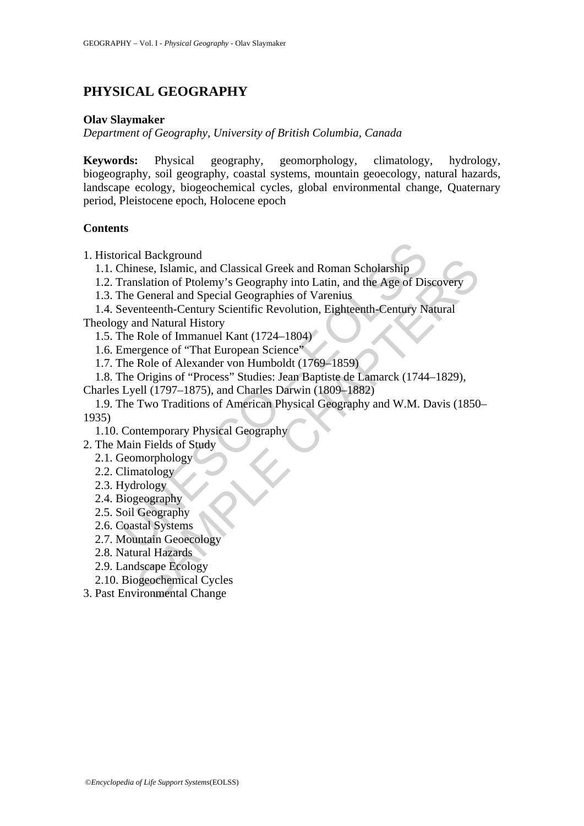# **PHYSICAL GEOGRAPHY**

#### **Olav Slaymaker**

*Department of Geography, University of British Columbia, Canada* 

**Keywords:** Physical geography, geomorphology, climatology, hydrology, biogeography, soil geography, coastal systems, mountain geoecology, natural hazards, landscape ecology, biogeochemical cycles, global environmental change, Quaternary period, Pleistocene epoch, Holocene epoch

#### **Contents**

1. Historical Background

1.1. Chinese, Islamic, and Classical Greek and Roman Scholarship

1.2. Translation of Ptolemy's Geography into Latin, and the Age of Discovery

1.3. The General and Special Geographies of Varenius

1.4. Seventeenth-Century Scientific Revolution, Eighteenth-Century Natural

Theology and Natural History

1.5. The Role of Immanuel Kant (1724–1804)

1.6. Emergence of "That European Science"

1.7. The Role of Alexander von Humboldt (1769–1859)

1.8. The Origins of "Process" Studies: Jean Baptiste de Lamarck (1744–1829),

Charles Lyell (1797–1875), and Charles Darwin (1809–1882)

rical Background<br>
Chinese, Islamic, and Classical Greek and Roman Scholarship<br>
Franslation of Ptolemy's Geography into Latin, and the Age of Dis<br>
The General and Special Geographies of Varenius<br>
Eventuenth-Century Scientif m acacegotan<br>
mexigonal Classical Greek and Roman Scholarship<br>
mexigonal of Ptolemy's Geography into Latin, and the Age of Discovery<br>
Salation of Ptolemy's Geographies of Varenius<br>
metenth-Century Scientific Revolution, Ei 1.9. The Two Traditions of American Physical Geography and W.M. Davis (1850– 1935)

1.10. Contemporary Physical Geography

- 2. The Main Fields of Study
	- 2.1. Geomorphology
	- 2.2. Climatology
	- 2.3. Hydrology
	- 2.4. Biogeography
	- 2.5. Soil Geography
	- 2.6. Coastal Systems
	- 2.7. Mountain Geoecology
	- 2.8. Natural Hazards
	- 2.9. Landscape Ecology

2.10. Biogeochemical Cycles

3. Past Environmental Change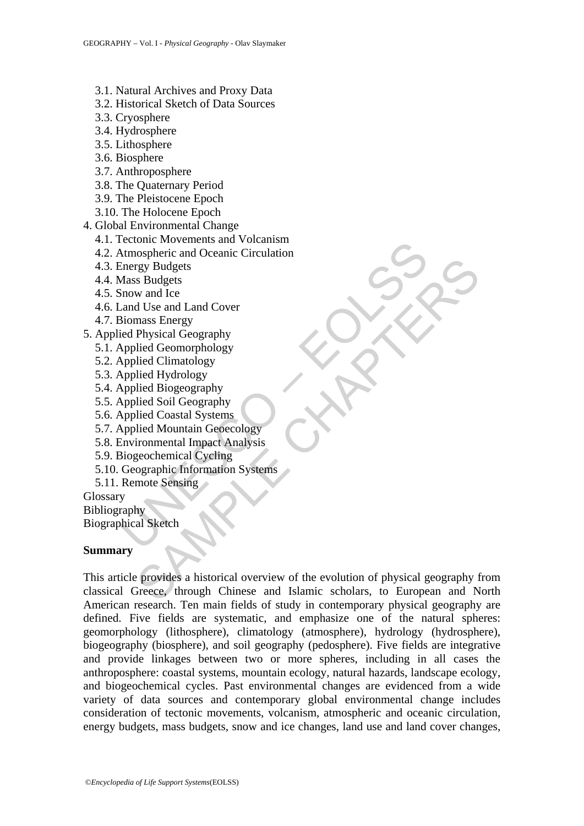- 3.1. Natural Archives and Proxy Data
- 3.2. Historical Sketch of Data Sources
- 3.3. Cryosphere
- 3.4. Hydrosphere
- 3.5. Lithosphere
- 3.6. Biosphere
- 3.7. Anthroposphere
- 3.8. The Quaternary Period
- 3.9. The Pleistocene Epoch
- 3.10. The Holocene Epoch
- 4. Global Environmental Change
	- 4.1. Tectonic Movements and Volcanism
	- rection<br>Atmospheric and Oceanic Circulation<br>Atmospheric and Oceanic Circulation<br>Energy Budgets<br>Mass Budgets<br>Mass Budgets<br>Siomass Energy<br>ied Physical Geography<br>Applied Giomarohology<br>Applied Giomarohology<br>Applied Cionstal Sy 4.2. Atmospheric and Oceanic Circulation
	- 4.3. Energy Budgets
	- 4.4. Mass Budgets
	- 4.5. Snow and Ice
	- 4.6. Land Use and Land Cover
	- 4.7. Biomass Energy
- 5. Applied Physical Geography
	- 5.1. Applied Geomorphology
	- 5.2. Applied Climatology
	- 5.3. Applied Hydrology
	- 5.4. Applied Biogeography
	- 5.5. Applied Soil Geography
	- 5.6. Applied Coastal Systems
	- 5.7. Applied Mountain Geoecology
	- 5.8. Environmental Impact Analysis
	- 5.9. Biogeochemical Cycling
	- 5.10. Geographic Information Systems
	- 5.11. Remote Sensing

**Glossary** Bibliography Biographical Sketch

#### **Summary**

Figure Budgets<br>
and Ice and Land Cover<br>
wand Ice and Land Cover<br>
ans Energy<br>
Physical Geomorphology<br>
ilied Geomorphology<br>
ilied Grandology<br>
ilied Classical Systems<br>
ilied Mountain Geoecology<br>
ilied Mountain Geoecology<br>
ili This article provides a historical overview of the evolution of physical geography from classical Greece, through Chinese and Islamic scholars, to European and North American research. Ten main fields of study in contemporary physical geography are defined. Five fields are systematic, and emphasize one of the natural spheres: geomorphology (lithosphere), climatology (atmosphere), hydrology (hydrosphere), biogeography (biosphere), and soil geography (pedosphere). Five fields are integrative and provide linkages between two or more spheres, including in all cases the anthroposphere: coastal systems, mountain ecology, natural hazards, landscape ecology, and biogeochemical cycles. Past environmental changes are evidenced from a wide variety of data sources and contemporary global environmental change includes consideration of tectonic movements, volcanism, atmospheric and oceanic circulation, energy budgets, mass budgets, snow and ice changes, land use and land cover changes,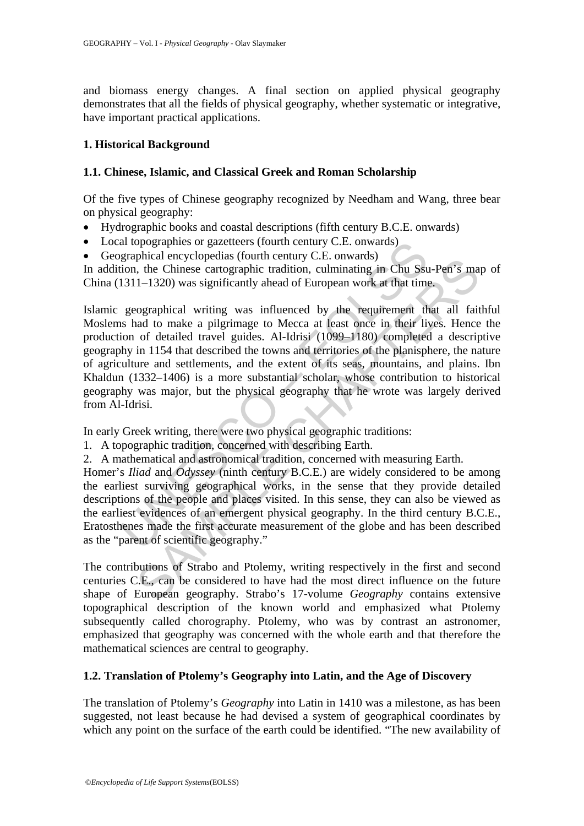and biomass energy changes. A final section on applied physical geography demonstrates that all the fields of physical geography, whether systematic or integrative, have important practical applications.

## **1. Historical Background**

## **1.1. Chinese, Islamic, and Classical Greek and Roman Scholarship**

Of the five types of Chinese geography recognized by Needham and Wang, three bear on physical geography:

- Hydrographic books and coastal descriptions (fifth century B.C.E. onwards)
- Local topographies or gazetteers (fourth century C.E. onwards)
- Geographical encyclopedias (fourth century C.E. onwards)

In addition, the Chinese cartographic tradition, culminating in Chu Ssu-Pen's map of China (1311–1320) was significantly ahead of European work at that time.

al topographics or gazetteers (fourth century C.E. onwards)<br>graphical encyclopedias (fourth century C.E. onwards)<br>in, the Chinese cartographic tradition, culminating in Chu Ssu<br>311-1320) was significantly ahead of European mondent encyclopeduas toutine tend y.c.t. onwards)<br>
the Chinese cartographic tradition, culminating in Chu Ssu-Pen's ma<br>
1-1320) was significantly ahead of European work at that time,<br>
cographical writing was influenced b Islamic geographical writing was influenced by the requirement that all faithful Moslems had to make a pilgrimage to Mecca at least once in their lives. Hence the production of detailed travel guides. Al-Idrisi (1099–1180) completed a descriptive geography in 1154 that described the towns and territories of the planisphere, the nature of agriculture and settlements, and the extent of its seas, mountains, and plains. Ibn Khaldun (1332–1406) is a more substantial scholar, whose contribution to historical geography was major, but the physical geography that he wrote was largely derived from Al-Idrisi.

In early Greek writing, there were two physical geographic traditions:

- 1. A topographic tradition, concerned with describing Earth.
- 2. A mathematical and astronomical tradition, concerned with measuring Earth.

Homer's *Iliad* and *Odyssey* (ninth century B.C.E.) are widely considered to be among the earliest surviving geographical works, in the sense that they provide detailed descriptions of the people and places visited. In this sense, they can also be viewed as the earliest evidences of an emergent physical geography. In the third century B.C.E., Eratosthenes made the first accurate measurement of the globe and has been described as the "parent of scientific geography."

The contributions of Strabo and Ptolemy, writing respectively in the first and second centuries C.E., can be considered to have had the most direct influence on the future shape of European geography. Strabo's 17-volume *Geography* contains extensive topographical description of the known world and emphasized what Ptolemy subsequently called chorography. Ptolemy, who was by contrast an astronomer, emphasized that geography was concerned with the whole earth and that therefore the mathematical sciences are central to geography.

## **1.2. Translation of Ptolemy's Geography into Latin, and the Age of Discovery**

The translation of Ptolemy's *Geography* into Latin in 1410 was a milestone, as has been suggested, not least because he had devised a system of geographical coordinates by which any point on the surface of the earth could be identified. "The new availability of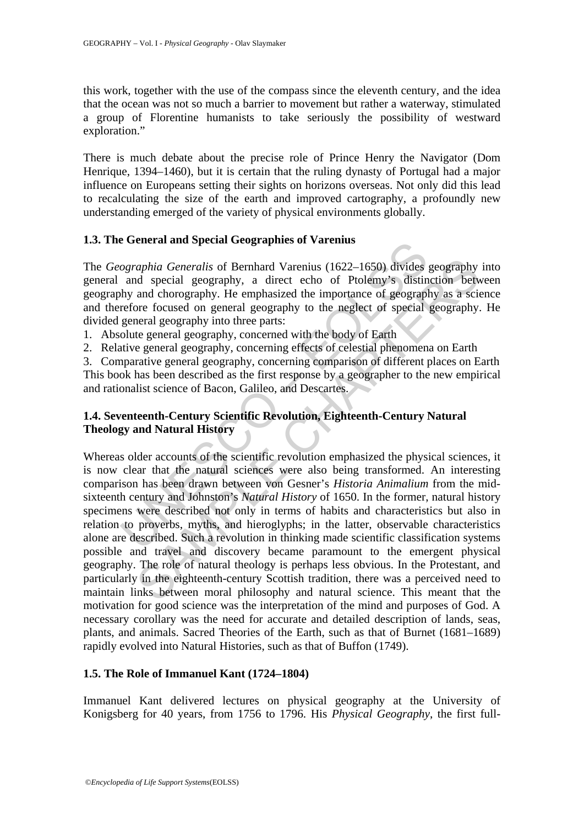this work, together with the use of the compass since the eleventh century, and the idea that the ocean was not so much a barrier to movement but rather a waterway, stimulated a group of Florentine humanists to take seriously the possibility of westward exploration."

There is much debate about the precise role of Prince Henry the Navigator (Dom Henrique, 1394–1460), but it is certain that the ruling dynasty of Portugal had a major influence on Europeans setting their sights on horizons overseas. Not only did this lead to recalculating the size of the earth and improved cartography, a profoundly new understanding emerged of the variety of physical environments globally.

### **1.3. The General and Special Geographies of Varenius**

The *Geographia Generalis* of Bernhard Varenius (1622–1650) divides geography into general and special geography, a direct echo of Ptolemy's distinction between geography and chorography. He emphasized the importance of geography as a science and therefore focused on general geography to the neglect of special geography. He divided general geography into three parts:

- 1. Absolute general geography, concerned with the body of Earth
- 2. Relative general geography, concerning effects of celestial phenomena on Earth

3. Comparative general geography, concerning comparison of different places on Earth This book has been described as the first response by a geographer to the new empirical and rationalist science of Bacon, Galileo, and Descartes.

## **1.4. Seventeenth-Century Scientific Revolution, Eighteenth-Century Natural Theology and Natural History**

ographia Generalis of Bernhard Varenius<br>
ographia Generalis of Bernhard Varenius (1622–1650) divides<br>
and special geography, a direct echo of Ptolemy's distin<br>
hy and chorography. He emphasized the importance of geograpl<br> aphia Generalis of Bernhard Varenius (1622–1650) divides geography<br>d special geography, a direct echo of Ptolemy's distinction betwee<br>and chorography. He emphasized the importance of geography as a science and chorography. Whereas older accounts of the scientific revolution emphasized the physical sciences, it is now clear that the natural sciences were also being transformed. An interesting comparison has been drawn between von Gesner's *Historia Animalium* from the midsixteenth century and Johnston's *Natural History* of 1650. In the former, natural history specimens were described not only in terms of habits and characteristics but also in relation to proverbs, myths, and hieroglyphs; in the latter, observable characteristics alone are described. Such a revolution in thinking made scientific classification systems possible and travel and discovery became paramount to the emergent physical geography. The role of natural theology is perhaps less obvious. In the Protestant, and particularly in the eighteenth-century Scottish tradition, there was a perceived need to maintain links between moral philosophy and natural science. This meant that the motivation for good science was the interpretation of the mind and purposes of God. A necessary corollary was the need for accurate and detailed description of lands, seas, plants, and animals. Sacred Theories of the Earth, such as that of Burnet (1681–1689) rapidly evolved into Natural Histories, such as that of Buffon (1749).

## **1.5. The Role of Immanuel Kant (1724–1804)**

Immanuel Kant delivered lectures on physical geography at the University of Konigsberg for 40 years, from 1756 to 1796. His *Physical Geography*, the first full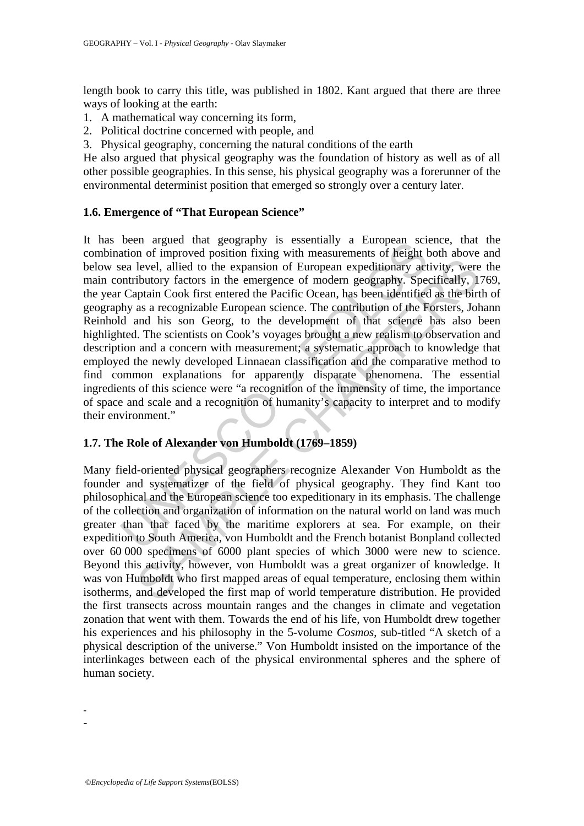length book to carry this title, was published in 1802. Kant argued that there are three ways of looking at the earth:

- 1. A mathematical way concerning its form,
- 2. Political doctrine concerned with people, and
- 3. Physical geography, concerning the natural conditions of the earth

He also argued that physical geography was the foundation of history as well as of all other possible geographies. In this sense, his physical geography was a forerunner of the environmental determinist position that emerged so strongly over a century later.

#### **1.6. Emergence of "That European Science"**

been any act geography is essentiany a European science and action of improved position fixing with measurements of height been level, allied to the expansion of European expeditionary action fixing with enverthed the Paci not alled to the expansion of European expeditionary activity, were<br>level, alled to the expansion of European expeditionary activity, were<br>ibutory factors in the emergence of modern geography. Specifically, 1<br>plain Cook fi It has been argued that geography is essentially a European science, that the combination of improved position fixing with measurements of height both above and below sea level, allied to the expansion of European expeditionary activity, were the main contributory factors in the emergence of modern geography. Specifically, 1769, the year Captain Cook first entered the Pacific Ocean, has been identified as the birth of geography as a recognizable European science. The contribution of the Forsters, Johann Reinhold and his son Georg, to the development of that science has also been highlighted. The scientists on Cook's voyages brought a new realism to observation and description and a concern with measurement; a systematic approach to knowledge that employed the newly developed Linnaean classification and the comparative method to find common explanations for apparently disparate phenomena. The essential ingredients of this science were "a recognition of the immensity of time, the importance of space and scale and a recognition of humanity's capacity to interpret and to modify their environment."

#### **1.7. The Role of Alexander von Humboldt (1769–1859)**

Many field-oriented physical geographers recognize Alexander Von Humboldt as the founder and systematizer of the field of physical geography. They find Kant too philosophical and the European science too expeditionary in its emphasis. The challenge of the collection and organization of information on the natural world on land was much greater than that faced by the maritime explorers at sea. For example, on their expedition to South America, von Humboldt and the French botanist Bonpland collected over 60 000 specimens of 6000 plant species of which 3000 were new to science. Beyond this activity, however, von Humboldt was a great organizer of knowledge. It was von Humboldt who first mapped areas of equal temperature, enclosing them within isotherms, and developed the first map of world temperature distribution. He provided the first transects across mountain ranges and the changes in climate and vegetation zonation that went with them. Towards the end of his life, von Humboldt drew together his experiences and his philosophy in the 5-volume *Cosmos*, sub-titled "A sketch of a physical description of the universe." Von Humboldt insisted on the importance of the interlinkages between each of the physical environmental spheres and the sphere of human society.

- -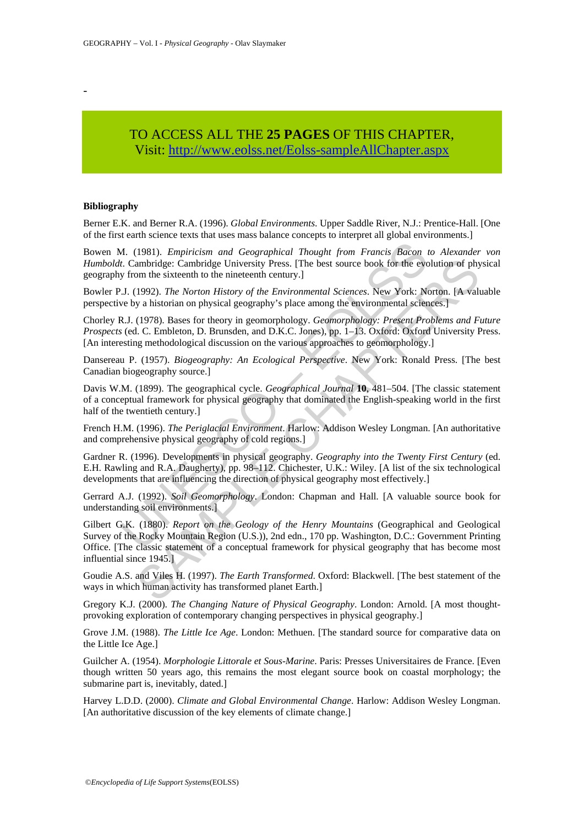-

## TO ACCESS ALL THE **25 PAGES** OF THIS CHAPTER, Vi[sit: http://www.eolss.net/Eolss-sampleAllChapter.aspx](https://www.eolss.net/ebooklib/sc_cart.aspx?File=E6-14-02)

#### **Bibliography**

Berner E.K. and Berner R.A. (1996). *Global Environments*. Upper Saddle River, N.J.: Prentice-Hall. [One of the first earth science texts that uses mass balance concepts to interpret all global environments.]

Bowen M. (1981). *Empiricism and Geographical Thought from Francis Bacon to Alexander von Humboldt*. Cambridge: Cambridge University Press. [The best source book for the evolution of physical geography from the sixteenth to the nineteenth century.]

Bowler P.J. (1992). *The Norton History of the Environmental Sciences*. New York: Norton. [A valuable perspective by a historian on physical geography's place among the environmental sciences.]

Chorley R.J. (1978). Bases for theory in geomorphology. *Geomorphology: Present Problems and Future Prospects* (ed. C. Embleton, D. Brunsden, and D.K.C. Jones), pp. 1–13. Oxford: Oxford University Press. [An interesting methodological discussion on the various approaches to geomorphology.]

Dansereau P. (1957). *Biogeography: An Ecological Perspective*. New York: Ronald Press. [The best Canadian biogeography source.]

M. (1981). *Empiricism and Geographical Thought from Francis Bacon i*<br>
t. Cambridge: Cambridge University Press. [The best source book for the evolution of the sixteenth to the inieteenth century.]<br>
U.J. (1992). *The Norto* Davis W.M. (1899). The geographical cycle. *Geographical Journal* **10**, 481–504. [The classic statement of a conceptual framework for physical geography that dominated the English-speaking world in the first half of the twentieth century.]

French H.M. (1996). *The Periglacial Environment*. Harlow: Addison Wesley Longman. [An authoritative and comprehensive physical geography of cold regions.]

Gardner R. (1996). Developments in physical geography. *Geography into the Twenty First Century* (ed. E.H. Rawling and R.A. Daugherty), pp. 98–112. Chichester, U.K.: Wiley. [A list of the six technological developments that are influencing the direction of physical geography most effectively.]

Gerrard A.J. (1992). *Soil Geomorphology*. London: Chapman and Hall. [A valuable source book for understanding soil environments.]

ambridge: Cambridge University Press. [The best source book for the evolution of phy<br>
21992). The Norton History of the Environmental Sciences. New York: Norton. [A valu-<br>
21992). The Norton History of the Environmental Sc Gilbert G.K. (1880). *Report on the Geology of the Henry Mountains* (Geographical and Geological Survey of the Rocky Mountain Region (U.S.)), 2nd edn., 170 pp. Washington, D.C.: Government Printing Office. [The classic statement of a conceptual framework for physical geography that has become most influential since 1945.]

Goudie A.S. and Viles H. (1997). *The Earth Transformed*. Oxford: Blackwell. [The best statement of the ways in which human activity has transformed planet Earth.]

Gregory K.J. (2000). *The Changing Nature of Physical Geography*. London: Arnold. [A most thoughtprovoking exploration of contemporary changing perspectives in physical geography.]

Grove J.M. (1988). *The Little Ice Age*. London: Methuen. [The standard source for comparative data on the Little Ice Age.]

Guilcher A. (1954). *Morphologie Littorale et Sous-Marine*. Paris: Presses Universitaires de France. [Even though written 50 years ago, this remains the most elegant source book on coastal morphology; the submarine part is, inevitably, dated.]

Harvey L.D.D. (2000). *Climate and Global Environmental Change*. Harlow: Addison Wesley Longman. [An authoritative discussion of the key elements of climate change.]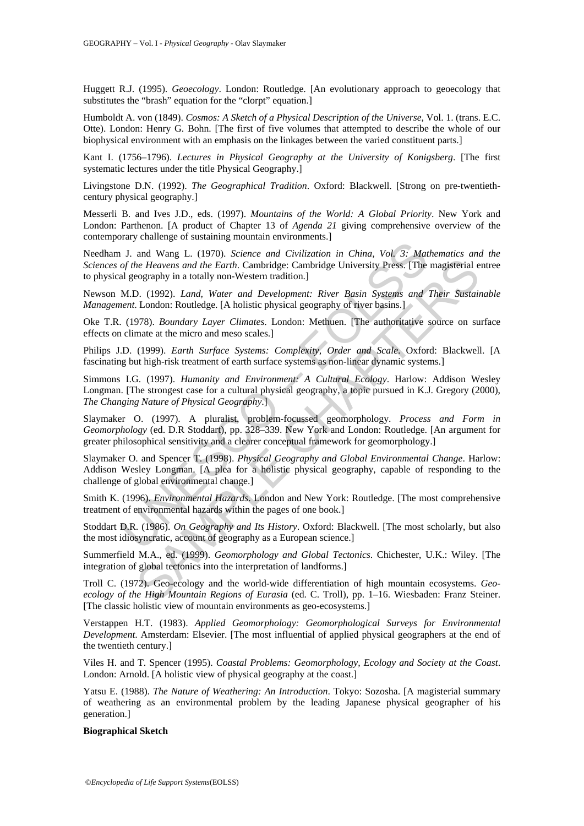Huggett R.J. (1995). *Geoecology*. London: Routledge. [An evolutionary approach to geoecology that substitutes the "brash" equation for the "clorpt" equation.]

Humboldt A. von (1849). *Cosmos: A Sketch of a Physical Description of the Universe*, Vol. 1. (trans. E.C. Otte). London: Henry G. Bohn. [The first of five volumes that attempted to describe the whole of our biophysical environment with an emphasis on the linkages between the varied constituent parts.]

Kant I. (1756–1796). *Lectures in Physical Geography at the University of Konigsberg*. [The first systematic lectures under the title Physical Geography.]

Livingstone D.N. (1992). *The Geographical Tradition*. Oxford: Blackwell. [Strong on pre-twentiethcentury physical geography.]

Messerli B. and Ives J.D., eds. (1997). *Mountains of the World: A Global Priority*. New York and London: Parthenon. [A product of Chapter 13 of *Agenda 21* giving comprehensive overview of the contemporary challenge of sustaining mountain environments.]

Needham J. and Wang L. (1970). *Science and Civilization in China, Vol. 3: Mathematics and the Sciences of the Heavens and the Earth*. Cambridge: Cambridge University Press. [The magisterial entree to physical geography in a totally non-Western tradition.]

Newson M.D. (1992). *Land, Water and Development: River Basin Systems and Their Sustainable Management*. London: Routledge. [A holistic physical geography of river basins.]

Oke T.R. (1978). *Boundary Layer Climates*. London: Methuen. [The authoritative source on surface effects on climate at the micro and meso scales.]

Philips J.D. (1999). *Earth Surface Systems: Complexity, Order and Scale*. Oxford: Blackwell. [A fascinating but high-risk treatment of earth surface systems as non-linear dynamic systems.]

Simmons I.G. (1997). *Humanity and Environment: A Cultural Ecology*. Harlow: Addison Wesley Longman. [The strongest case for a cultural physical geography, a topic pursued in K.J. Gregory (2000), *The Changing Nature of Physical Geography*.]

Slaymaker O. (1997). A pluralist, problem-focussed geomorphology. *Process and Form in Geomorphology* (ed. D.R Stoddart), pp. 328–339. New York and London: Routledge. [An argument for greater philosophical sensitivity and a clearer conceptual framework for geomorphology.]

11. and Wang L. (1970). Science and Civilization in China, Vol. 3: Mat<br>of the Heavens and the Earth. Cambridge: Cambridge University Press. [The<br>al geography in a totally non-Western tradition.]<br>M.D. (1992). Land, Water an and the Earth. Cambridge: Cambridge University Press. [The magisterial energy of the Haravas and the Earth. Cambridge: Cambridge University Press. [The magisterial eography in a totally non-Western tradition.]<br>
2. (1992). Slaymaker O. and Spencer T. (1998). *Physical Geography and Global Environmental Change*. Harlow: Addison Wesley Longman. [A plea for a holistic physical geography, capable of responding to the challenge of global environmental change.]

Smith K. (1996). *Environmental Hazards*. London and New York: Routledge. [The most comprehensive treatment of environmental hazards within the pages of one book.]

Stoddart D.R. (1986). *On Geography and Its History*. Oxford: Blackwell. [The most scholarly, but also the most idiosyncratic, account of geography as a European science.]

Summerfield M.A., ed. (1999). *Geomorphology and Global Tectonics*. Chichester, U.K.: Wiley. [The integration of global tectonics into the interpretation of landforms.]

Troll C. (1972). Geo-ecology and the world-wide differentiation of high mountain ecosystems. *Geoecology of the High Mountain Regions of Eurasia* (ed. C. Troll), pp. 1–16. Wiesbaden: Franz Steiner. [The classic holistic view of mountain environments as geo-ecosystems.]

Verstappen H.T. (1983). *Applied Geomorphology: Geomorphological Surveys for Environmental Development*. Amsterdam: Elsevier. [The most influential of applied physical geographers at the end of the twentieth century.]

Viles H. and T. Spencer (1995). *Coastal Problems: Geomorphology, Ecology and Society at the Coast*. London: Arnold. [A holistic view of physical geography at the coast.]

Yatsu E. (1988). *The Nature of Weathering: An Introduction*. Tokyo: Sozosha. [A magisterial summary of weathering as an environmental problem by the leading Japanese physical geographer of his generation.]

#### **Biographical Sketch**